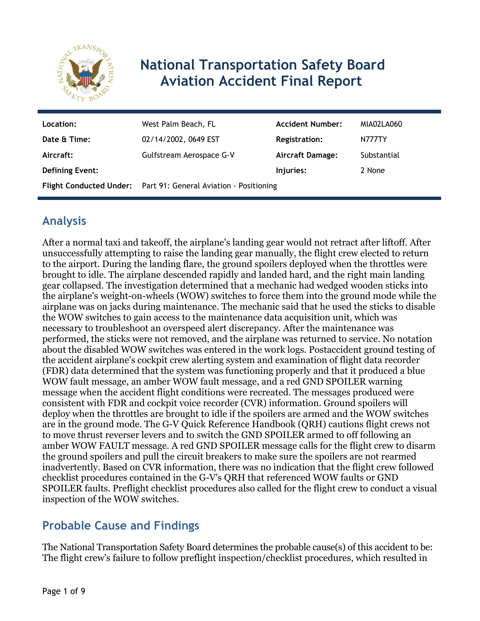

# **National Transportation Safety Board Aviation Accident Final Report**

| Location:              | West Palm Beach, FL                                             | <b>Accident Number:</b> | MIA02LA060    |
|------------------------|-----------------------------------------------------------------|-------------------------|---------------|
| Date & Time:           | 02/14/2002, 0649 EST                                            | <b>Registration:</b>    | <b>N777TY</b> |
| Aircraft:              | Gulfstream Aerospace G-V                                        | Aircraft Damage:        | Substantial   |
| <b>Defining Event:</b> |                                                                 | Injuries:               | 2 None        |
|                        | Flight Conducted Under: Part 91: General Aviation - Positioning |                         |               |

# **Analysis**

After a normal taxi and takeoff, the airplane's landing gear would not retract after liftoff. After unsuccessfully attempting to raise the landing gear manually, the flight crew elected to return to the airport. During the landing flare, the ground spoilers deployed when the throttles were brought to idle. The airplane descended rapidly and landed hard, and the right main landing gear collapsed. The investigation determined that a mechanic had wedged wooden sticks into the airplane's weight-on-wheels (WOW) switches to force them into the ground mode while the airplane was on jacks during maintenance. The mechanic said that he used the sticks to disable the WOW switches to gain access to the maintenance data acquisition unit, which was necessary to troubleshoot an overspeed alert discrepancy. After the maintenance was performed, the sticks were not removed, and the airplane was returned to service. No notation about the disabled WOW switches was entered in the work logs. Postaccident ground testing of the accident airplane's cockpit crew alerting system and examination of flight data recorder (FDR) data determined that the system was functioning properly and that it produced a blue WOW fault message, an amber WOW fault message, and a red GND SPOILER warning message when the accident flight conditions were recreated. The messages produced were consistent with FDR and cockpit voice recorder (CVR) information. Ground spoilers will deploy when the throttles are brought to idle if the spoilers are armed and the WOW switches are in the ground mode. The G-V Quick Reference Handbook (QRH) cautions flight crews not to move thrust reverser levers and to switch the GND SPOILER armed to off following an amber WOW FAULT message. A red GND SPOILER message calls for the flight crew to disarm the ground spoilers and pull the circuit breakers to make sure the spoilers are not rearmed inadvertently. Based on CVR information, there was no indication that the flight crew followed checklist procedures contained in the G-V's QRH that referenced WOW faults or GND SPOILER faults. Preflight checklist procedures also called for the flight crew to conduct a visual inspection of the WOW switches.

# **Probable Cause and Findings**

The National Transportation Safety Board determines the probable cause(s) of this accident to be: The flight crew's failure to follow preflight inspection/checklist procedures, which resulted in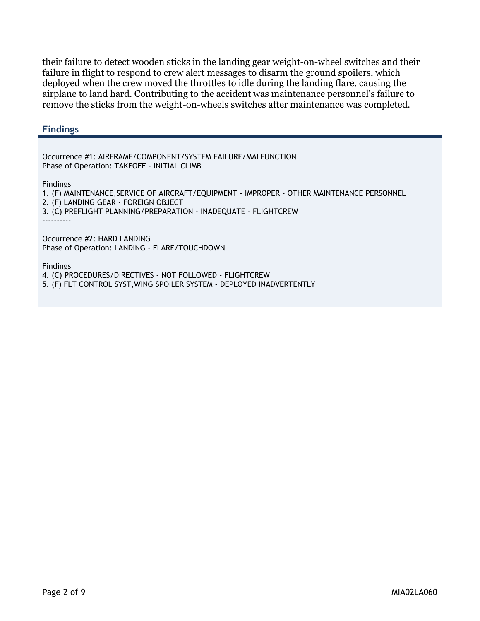their failure to detect wooden sticks in the landing gear weight-on-wheel switches and their failure in flight to respond to crew alert messages to disarm the ground spoilers, which deployed when the crew moved the throttles to idle during the landing flare, causing the airplane to land hard. Contributing to the accident was maintenance personnel's failure to remove the sticks from the weight-on-wheels switches after maintenance was completed.

#### **Findings**

Occurrence #1: AIRFRAME/COMPONENT/SYSTEM FAILURE/MALFUNCTION Phase of Operation: TAKEOFF - INITIAL CLIMB

Findings

1. (F) MAINTENANCE,SERVICE OF AIRCRAFT/EQUIPMENT - IMPROPER - OTHER MAINTENANCE PERSONNEL 2. (F) LANDING GEAR - FOREIGN OBJECT 3. (C) PREFLIGHT PLANNING/PREPARATION - INADEQUATE - FLIGHTCREW ----------

Occurrence #2: HARD LANDING Phase of Operation: LANDING - FLARE/TOUCHDOWN

Findings

4. (C) PROCEDURES/DIRECTIVES - NOT FOLLOWED - FLIGHTCREW

5. (F) FLT CONTROL SYST,WING SPOILER SYSTEM - DEPLOYED INADVERTENTLY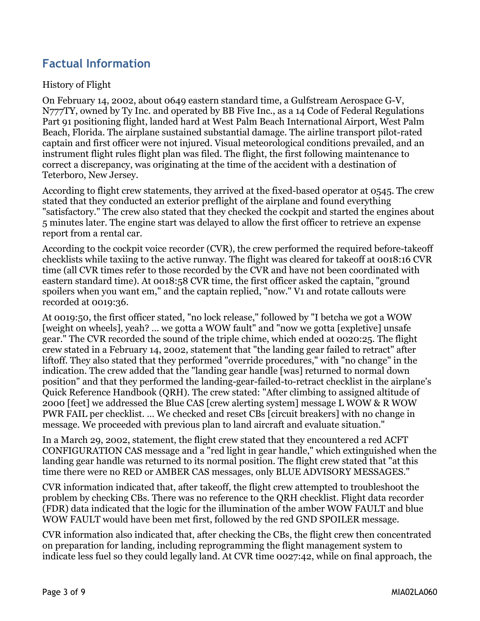# **Factual Information**

#### History of Flight

On February 14, 2002, about 0649 eastern standard time, a Gulfstream Aerospace G-V, N777TY, owned by Ty Inc. and operated by BB Five Inc., as a 14 Code of Federal Regulations Part 91 positioning flight, landed hard at West Palm Beach International Airport, West Palm Beach, Florida. The airplane sustained substantial damage. The airline transport pilot-rated captain and first officer were not injured. Visual meteorological conditions prevailed, and an instrument flight rules flight plan was filed. The flight, the first following maintenance to correct a discrepancy, was originating at the time of the accident with a destination of Teterboro, New Jersey.

According to flight crew statements, they arrived at the fixed-based operator at 0545. The crew stated that they conducted an exterior preflight of the airplane and found everything "satisfactory." The crew also stated that they checked the cockpit and started the engines about 5 minutes later. The engine start was delayed to allow the first officer to retrieve an expense report from a rental car.

According to the cockpit voice recorder (CVR), the crew performed the required before-takeoff checklists while taxiing to the active runway. The flight was cleared for takeoff at 0018:16 CVR time (all CVR times refer to those recorded by the CVR and have not been coordinated with eastern standard time). At 0018:58 CVR time, the first officer asked the captain, "ground spoilers when you want em," and the captain replied, "now." V1 and rotate callouts were recorded at 0019:36.

At 0019:50, the first officer stated, "no lock release," followed by "I betcha we got a WOW [weight on wheels], yeah? ... we gotta a WOW fault" and "now we gotta [expletive] unsafe gear." The CVR recorded the sound of the triple chime, which ended at 0020:25. The flight crew stated in a February 14, 2002, statement that "the landing gear failed to retract" after liftoff. They also stated that they performed "override procedures," with "no change" in the indication. The crew added that the "landing gear handle [was] returned to normal down position" and that they performed the landing-gear-failed-to-retract checklist in the airplane's Quick Reference Handbook (QRH). The crew stated: "After climbing to assigned altitude of 2000 [feet] we addressed the Blue CAS [crew alerting system] message L WOW & R WOW PWR FAIL per checklist. … We checked and reset CBs [circuit breakers] with no change in message. We proceeded with previous plan to land aircraft and evaluate situation."

In a March 29, 2002, statement, the flight crew stated that they encountered a red ACFT CONFIGURATION CAS message and a "red light in gear handle," which extinguished when the landing gear handle was returned to its normal position. The flight crew stated that "at this time there were no RED or AMBER CAS messages, only BLUE ADVISORY MESSAGES."

CVR information indicated that, after takeoff, the flight crew attempted to troubleshoot the problem by checking CBs. There was no reference to the QRH checklist. Flight data recorder (FDR) data indicated that the logic for the illumination of the amber WOW FAULT and blue WOW FAULT would have been met first, followed by the red GND SPOILER message.

CVR information also indicated that, after checking the CBs, the flight crew then concentrated on preparation for landing, including reprogramming the flight management system to indicate less fuel so they could legally land. At CVR time 0027:42, while on final approach, the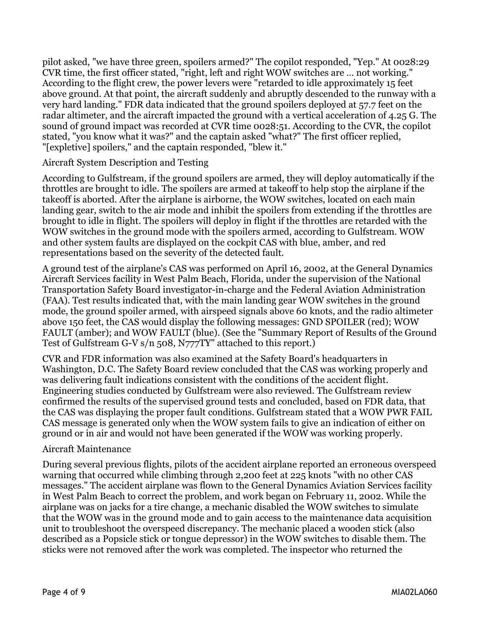pilot asked, "we have three green, spoilers armed?" The copilot responded, "Yep." At 0028:29 CVR time, the first officer stated, "right, left and right WOW switches are … not working." According to the flight crew, the power levers were "retarded to idle approximately 15 feet above ground. At that point, the aircraft suddenly and abruptly descended to the runway with a very hard landing." FDR data indicated that the ground spoilers deployed at 57.7 feet on the radar altimeter, and the aircraft impacted the ground with a vertical acceleration of 4.25 G. The sound of ground impact was recorded at CVR time 0028:51. According to the CVR, the copilot stated, "you know what it was?" and the captain asked "what?" The first officer replied, "[expletive] spoilers," and the captain responded, "blew it."

#### Aircraft System Description and Testing

According to Gulfstream, if the ground spoilers are armed, they will deploy automatically if the throttles are brought to idle. The spoilers are armed at takeoff to help stop the airplane if the takeoff is aborted. After the airplane is airborne, the WOW switches, located on each main landing gear, switch to the air mode and inhibit the spoilers from extending if the throttles are brought to idle in flight. The spoilers will deploy in flight if the throttles are retarded with the WOW switches in the ground mode with the spoilers armed, according to Gulfstream. WOW and other system faults are displayed on the cockpit CAS with blue, amber, and red representations based on the severity of the detected fault.

A ground test of the airplane's CAS was performed on April 16, 2002, at the General Dynamics Aircraft Services facility in West Palm Beach, Florida, under the supervision of the National Transportation Safety Board investigator-in-charge and the Federal Aviation Administration (FAA). Test results indicated that, with the main landing gear WOW switches in the ground mode, the ground spoiler armed, with airspeed signals above 60 knots, and the radio altimeter above 150 feet, the CAS would display the following messages: GND SPOILER (red); WOW FAULT (amber); and WOW FAULT (blue). (See the "Summary Report of Results of the Ground Test of Gulfstream G-V s/n 508, N777TY" attached to this report.)

CVR and FDR information was also examined at the Safety Board's headquarters in Washington, D.C. The Safety Board review concluded that the CAS was working properly and was delivering fault indications consistent with the conditions of the accident flight. Engineering studies conducted by Gulfstream were also reviewed. The Gulfstream review confirmed the results of the supervised ground tests and concluded, based on FDR data, that the CAS was displaying the proper fault conditions. Gulfstream stated that a WOW PWR FAIL CAS message is generated only when the WOW system fails to give an indication of either on ground or in air and would not have been generated if the WOW was working properly.

#### Aircraft Maintenance

During several previous flights, pilots of the accident airplane reported an erroneous overspeed warning that occurred while climbing through 2,200 feet at 225 knots "with no other CAS messages." The accident airplane was flown to the General Dynamics Aviation Services facility in West Palm Beach to correct the problem, and work began on February 11, 2002. While the airplane was on jacks for a tire change, a mechanic disabled the WOW switches to simulate that the WOW was in the ground mode and to gain access to the maintenance data acquisition unit to troubleshoot the overspeed discrepancy. The mechanic placed a wooden stick (also described as a Popsicle stick or tongue depressor) in the WOW switches to disable them. The sticks were not removed after the work was completed. The inspector who returned the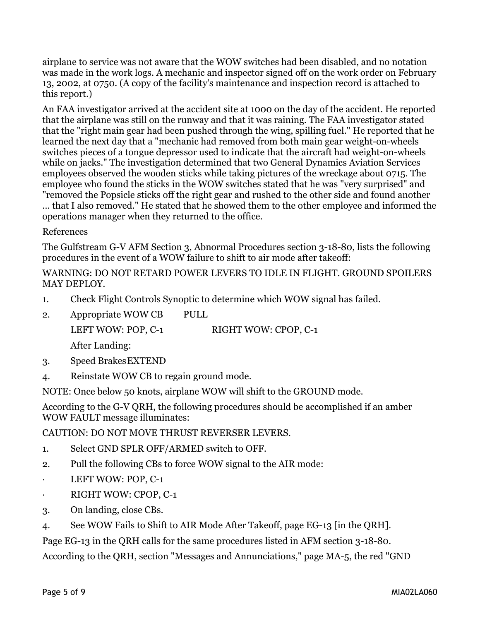airplane to service was not aware that the WOW switches had been disabled, and no notation was made in the work logs. A mechanic and inspector signed off on the work order on February 13, 2002, at 0750. (A copy of the facility's maintenance and inspection record is attached to this report.)

An FAA investigator arrived at the accident site at 1000 on the day of the accident. He reported that the airplane was still on the runway and that it was raining. The FAA investigator stated that the "right main gear had been pushed through the wing, spilling fuel." He reported that he learned the next day that a "mechanic had removed from both main gear weight-on-wheels switches pieces of a tongue depressor used to indicate that the aircraft had weight-on-wheels while on jacks." The investigation determined that two General Dynamics Aviation Services employees observed the wooden sticks while taking pictures of the wreckage about 0715. The employee who found the sticks in the WOW switches stated that he was "very surprised" and "removed the Popsicle sticks off the right gear and rushed to the other side and found another

… that I also removed." He stated that he showed them to the other employee and informed the operations manager when they returned to the office.

#### References

The Gulfstream G-V AFM Section 3, Abnormal Procedures section 3-18-80, lists the following procedures in the event of a WOW failure to shift to air mode after takeoff:

#### WARNING: DO NOT RETARD POWER LEVERS TO IDLE IN FLIGHT. GROUND SPOILERS MAY DEPLOY.

- 1. Check Flight Controls Synoptic to determine which WOW signal has failed.
- 2. Appropriate WOW CB PULL

LEFT WOW: POP, C-1 RIGHT WOW: CPOP, C-1

After Landing:

- 3. Speed BrakesEXTEND
- 4. Reinstate WOW CB to regain ground mode.

NOTE: Once below 50 knots, airplane WOW will shift to the GROUND mode.

According to the G-V QRH, the following procedures should be accomplished if an amber WOW FAULT message illuminates:

CAUTION: DO NOT MOVE THRUST REVERSER LEVERS.

- 1. Select GND SPLR OFF/ARMED switch to OFF.
- 2. Pull the following CBs to force WOW signal to the AIR mode:
- LEFT WOW: POP, C-1
- RIGHT WOW: CPOP, C-1
- 3. On landing, close CBs.
- 4. See WOW Fails to Shift to AIR Mode After Takeoff, page EG-13 [in the QRH].

Page EG-13 in the QRH calls for the same procedures listed in AFM section 3-18-80.

According to the QRH, section "Messages and Annunciations," page MA-5, the red "GND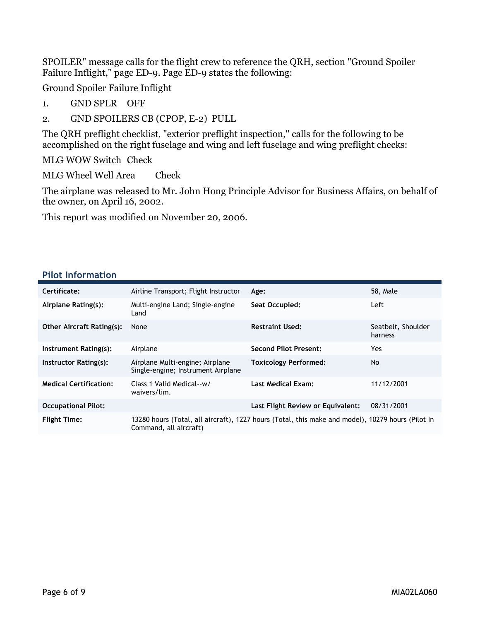SPOILER" message calls for the flight crew to reference the QRH, section "Ground Spoiler Failure Inflight," page ED-9. Page ED-9 states the following:

Ground Spoiler Failure Inflight

- 1. GND SPLR OFF
- 2. GND SPOILERS CB (CPOP, E-2) PULL

The QRH preflight checklist, "exterior preflight inspection," calls for the following to be accomplished on the right fuselage and wing and left fuselage and wing preflight checks:

MLG WOW Switch Check

MLG Wheel Well Area Check

The airplane was released to Mr. John Hong Principle Advisor for Business Affairs, on behalf of the owner, on April 16, 2002.

This report was modified on November 20, 2006.

#### **Pilot Information**

| Certificate:                     | Airline Transport; Flight Instructor                                  | Age:                                                                                              | 58, Male                      |
|----------------------------------|-----------------------------------------------------------------------|---------------------------------------------------------------------------------------------------|-------------------------------|
| Airplane Rating(s):              | Multi-engine Land; Single-engine<br>Land                              | Seat Occupied:                                                                                    | Left                          |
| <b>Other Aircraft Rating(s):</b> | None                                                                  | <b>Restraint Used:</b>                                                                            | Seatbelt, Shoulder<br>harness |
| Instrument Rating(s):            | Airplane                                                              | <b>Second Pilot Present:</b>                                                                      | Yes.                          |
| Instructor Rating(s):            | Airplane Multi-engine; Airplane<br>Single-engine; Instrument Airplane | <b>Toxicology Performed:</b>                                                                      | No.                           |
| <b>Medical Certification:</b>    | Class 1 Valid Medical--w/<br>waivers/lim.                             | <b>Last Medical Exam:</b>                                                                         | 11/12/2001                    |
| <b>Occupational Pilot:</b>       |                                                                       | Last Flight Review or Equivalent:                                                                 | 08/31/2001                    |
| <b>Flight Time:</b>              | Command, all aircraft)                                                | 13280 hours (Total, all aircraft), 1227 hours (Total, this make and model), 10279 hours (Pilot In |                               |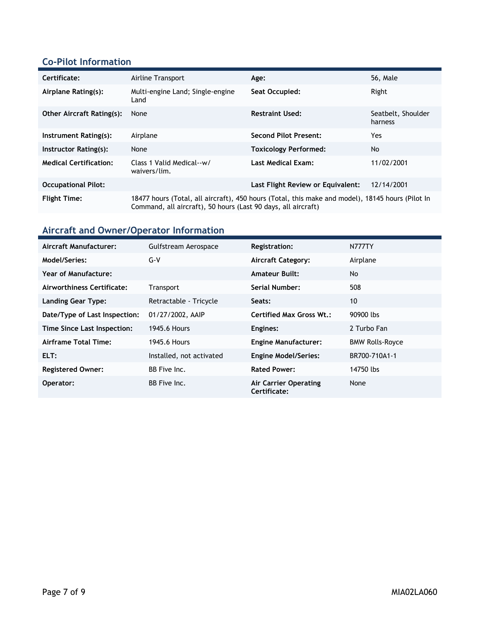## **Co-Pilot Information**

| Certificate:                     | Airline Transport                                                                                                                                                 | Age:                              | <b>56, Male</b>               |
|----------------------------------|-------------------------------------------------------------------------------------------------------------------------------------------------------------------|-----------------------------------|-------------------------------|
| Airplane Rating(s):              | Multi-engine Land; Single-engine<br>Land                                                                                                                          | Seat Occupied:                    | Right                         |
| <b>Other Aircraft Rating(s):</b> | None                                                                                                                                                              | <b>Restraint Used:</b>            | Seatbelt, Shoulder<br>harness |
| Instrument Rating(s):            | Airplane                                                                                                                                                          | <b>Second Pilot Present:</b>      | Yes                           |
| Instructor Rating(s):            | None                                                                                                                                                              | <b>Toxicology Performed:</b>      | No.                           |
| <b>Medical Certification:</b>    | Class 1 Valid Medical--w/<br>waivers/lim.                                                                                                                         | <b>Last Medical Exam:</b>         | 11/02/2001                    |
| <b>Occupational Pilot:</b>       |                                                                                                                                                                   | Last Flight Review or Equivalent: | 12/14/2001                    |
| <b>Flight Time:</b>              | 18477 hours (Total, all aircraft), 450 hours (Total, this make and model), 18145 hours (Pilot In<br>Command, all aircraft), 50 hours (Last 90 days, all aircraft) |                                   |                               |

# **Aircraft and Owner/Operator Information**

| Aircraft Manufacturer:        | Gulfstream Aerospace     | <b>Registration:</b>                         | <b>N777TY</b>          |
|-------------------------------|--------------------------|----------------------------------------------|------------------------|
| Model/Series:                 | $G-V$                    | <b>Aircraft Category:</b>                    | Airplane               |
| Year of Manufacture:          |                          | <b>Amateur Built:</b>                        | <b>No</b>              |
| Airworthiness Certificate:    | <b>Transport</b>         | Serial Number:                               | 508                    |
| <b>Landing Gear Type:</b>     | Retractable - Tricycle   | Seats:                                       | 10                     |
| Date/Type of Last Inspection: | 01/27/2002, AAIP         | <b>Certified Max Gross Wt.:</b>              | 90900 lbs              |
| Time Since Last Inspection:   | 1945.6 Hours             | Engines:                                     | 2 Turbo Fan            |
| Airframe Total Time:          | 1945.6 Hours             | <b>Engine Manufacturer:</b>                  | <b>BMW Rolls-Royce</b> |
| ELT:                          | Installed, not activated | <b>Engine Model/Series:</b>                  | BR700-710A1-1          |
| <b>Registered Owner:</b>      | BB Five Inc.             | <b>Rated Power:</b>                          | 14750 lbs              |
| Operator:                     | BB Five Inc.             | <b>Air Carrier Operating</b><br>Certificate: | None                   |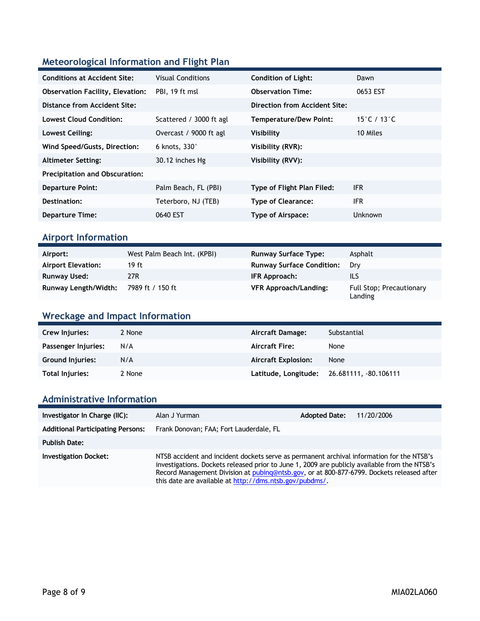## **Meteorological Information and Flight Plan**

| <b>Conditions at Accident Site:</b>     | <b>Visual Conditions</b> | <b>Condition of Light:</b>    | Dawn        |
|-----------------------------------------|--------------------------|-------------------------------|-------------|
| <b>Observation Facility, Elevation:</b> | PBI, 19 ft msl           | <b>Observation Time:</b>      | 0653 EST    |
| Distance from Accident Site:            |                          | Direction from Accident Site: |             |
| Lowest Cloud Condition:                 | Scattered / 3000 ft agl  | Temperature/Dew Point:        | 15°C / 13°C |
| Lowest Ceiling:                         | Overcast / 9000 ft agl   | Visibility                    | 10 Miles    |
| Wind Speed/Gusts, Direction:            | 6 knots, $330^\circ$     | Visibility (RVR):             |             |
| <b>Altimeter Setting:</b>               | 30.12 inches Hg          | Visibility (RVV):             |             |
| <b>Precipitation and Obscuration:</b>   |                          |                               |             |
| <b>Departure Point:</b>                 | Palm Beach, FL (PBI)     | Type of Flight Plan Filed:    | <b>IFR</b>  |
| Destination:                            | Teterboro, NJ (TEB)      | <b>Type of Clearance:</b>     | <b>IFR</b>  |
| <b>Departure Time:</b>                  | 0640 EST                 | Type of Airspace:             | Unknown     |
|                                         |                          |                               |             |

### **Airport Information**

| Airport:                  | West Palm Beach Int. (KPBI) | <b>Runway Surface Type:</b>      | Asphalt                             |
|---------------------------|-----------------------------|----------------------------------|-------------------------------------|
| <b>Airport Elevation:</b> | 19 ft                       | <b>Runway Surface Condition:</b> | Drv                                 |
| Runway Used:              | 27R                         | IFR Approach:                    | ils                                 |
| Runway Length/Width:      | 7989 ft / 150 ft            | <b>VFR Approach/Landing:</b>     | Full Stop; Precautionary<br>Landing |

### **Wreckage and Impact Information**

| Crew Injuries:          | 2 None | Aircraft Damage:           | Substantial                                |
|-------------------------|--------|----------------------------|--------------------------------------------|
| Passenger Injuries:     | N/A    | <b>Aircraft Fire:</b>      | None                                       |
| <b>Ground Injuries:</b> | N/A    | <b>Aircraft Explosion:</b> | None                                       |
| Total Injuries:         | 2 None |                            | Latitude, Longitude: 26.681111, -80.106111 |

## **Administrative Information**

| Investigator In Charge (IIC):            | Alan J Yurman                                                                                                                                                                                                                                                                                                                                      | <b>Adopted Date:</b> | 11/20/2006 |
|------------------------------------------|----------------------------------------------------------------------------------------------------------------------------------------------------------------------------------------------------------------------------------------------------------------------------------------------------------------------------------------------------|----------------------|------------|
| <b>Additional Participating Persons:</b> | Frank Donovan; FAA; Fort Lauderdale, FL                                                                                                                                                                                                                                                                                                            |                      |            |
| <b>Publish Date:</b>                     |                                                                                                                                                                                                                                                                                                                                                    |                      |            |
| <b>Investigation Docket:</b>             | NTSB accident and incident dockets serve as permanent archival information for the NTSB's<br>investigations. Dockets released prior to June 1, 2009 are publicly available from the NTSB's<br>Record Management Division at pubing@ntsb.gov, or at 800-877-6799. Dockets released after<br>this date are available at http://dms.ntsb.gov/pubdms/. |                      |            |